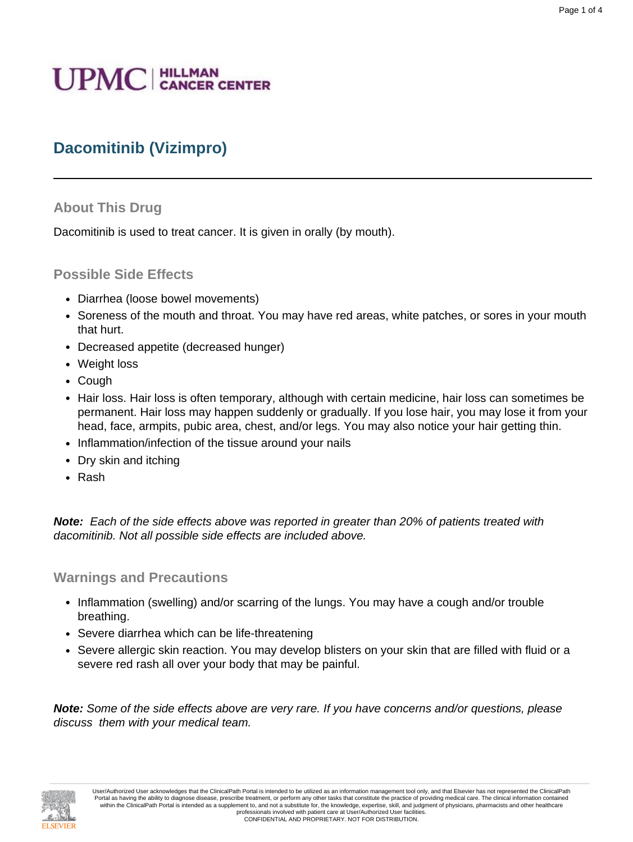# **UPMC** | HILLMAN

# **Dacomitinib (Vizimpro)**

#### **About This Drug**

Dacomitinib is used to treat cancer. It is given in orally (by mouth).

#### **Possible Side Effects**

- Diarrhea (loose bowel movements)
- Soreness of the mouth and throat. You may have red areas, white patches, or sores in your mouth that hurt.
- Decreased appetite (decreased hunger)
- Weight loss
- Cough
- Hair loss. Hair loss is often temporary, although with certain medicine, hair loss can sometimes be permanent. Hair loss may happen suddenly or gradually. If you lose hair, you may lose it from your head, face, armpits, pubic area, chest, and/or legs. You may also notice your hair getting thin.
- Inflammation/infection of the tissue around your nails
- Dry skin and itching
- Rash

**Note:** Each of the side effects above was reported in greater than 20% of patients treated with dacomitinib. Not all possible side effects are included above.

#### **Warnings and Precautions**

- Inflammation (swelling) and/or scarring of the lungs. You may have a cough and/or trouble breathing.
- Severe diarrhea which can be life-threatening
- Severe allergic skin reaction. You may develop blisters on your skin that are filled with fluid or a severe red rash all over your body that may be painful.

**Note:** Some of the side effects above are very rare. If you have concerns and/or questions, please discuss them with your medical team.

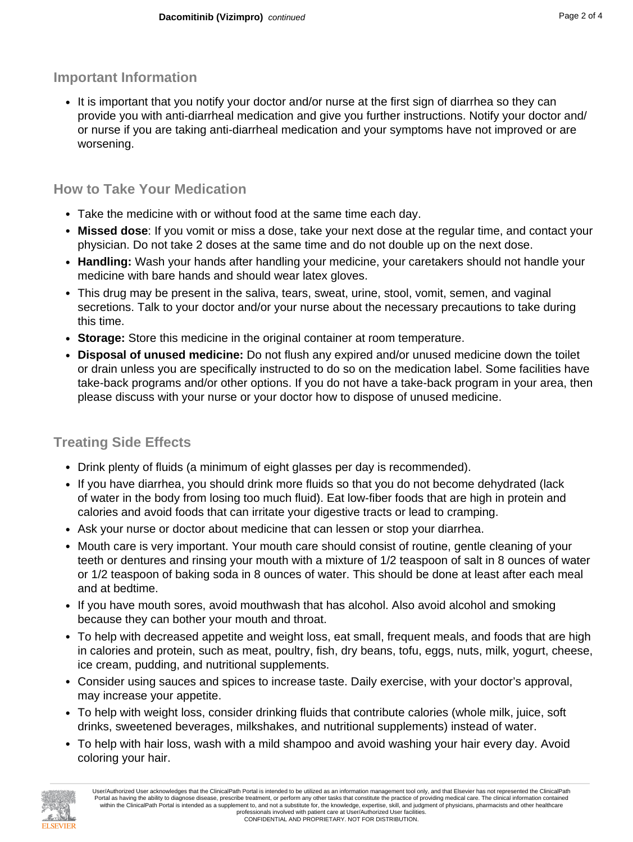### **Important Information**

• It is important that you notify your doctor and/or nurse at the first sign of diarrhea so they can provide you with anti-diarrheal medication and give you further instructions. Notify your doctor and/ or nurse if you are taking anti-diarrheal medication and your symptoms have not improved or are worsening.

## **How to Take Your Medication**

- Take the medicine with or without food at the same time each day.
- **Missed dose**: If you vomit or miss a dose, take your next dose at the regular time, and contact your physician. Do not take 2 doses at the same time and do not double up on the next dose.
- **Handling:** Wash your hands after handling your medicine, your caretakers should not handle your medicine with bare hands and should wear latex gloves.
- This drug may be present in the saliva, tears, sweat, urine, stool, vomit, semen, and vaginal secretions. Talk to your doctor and/or your nurse about the necessary precautions to take during this time.
- **Storage:** Store this medicine in the original container at room temperature.
- **Disposal of unused medicine:** Do not flush any expired and/or unused medicine down the toilet or drain unless you are specifically instructed to do so on the medication label. Some facilities have take-back programs and/or other options. If you do not have a take-back program in your area, then please discuss with your nurse or your doctor how to dispose of unused medicine.

## **Treating Side Effects**

- Drink plenty of fluids (a minimum of eight glasses per day is recommended).
- If you have diarrhea, you should drink more fluids so that you do not become dehydrated (lack of water in the body from losing too much fluid). Eat low-fiber foods that are high in protein and calories and avoid foods that can irritate your digestive tracts or lead to cramping.
- Ask your nurse or doctor about medicine that can lessen or stop your diarrhea.
- Mouth care is very important. Your mouth care should consist of routine, gentle cleaning of your teeth or dentures and rinsing your mouth with a mixture of 1/2 teaspoon of salt in 8 ounces of water or 1/2 teaspoon of baking soda in 8 ounces of water. This should be done at least after each meal and at bedtime.
- If you have mouth sores, avoid mouthwash that has alcohol. Also avoid alcohol and smoking because they can bother your mouth and throat.
- To help with decreased appetite and weight loss, eat small, frequent meals, and foods that are high in calories and protein, such as meat, poultry, fish, dry beans, tofu, eggs, nuts, milk, yogurt, cheese, ice cream, pudding, and nutritional supplements.
- Consider using sauces and spices to increase taste. Daily exercise, with your doctor's approval, may increase your appetite.
- To help with weight loss, consider drinking fluids that contribute calories (whole milk, juice, soft drinks, sweetened beverages, milkshakes, and nutritional supplements) instead of water.
- To help with hair loss, wash with a mild shampoo and avoid washing your hair every day. Avoid coloring your hair.

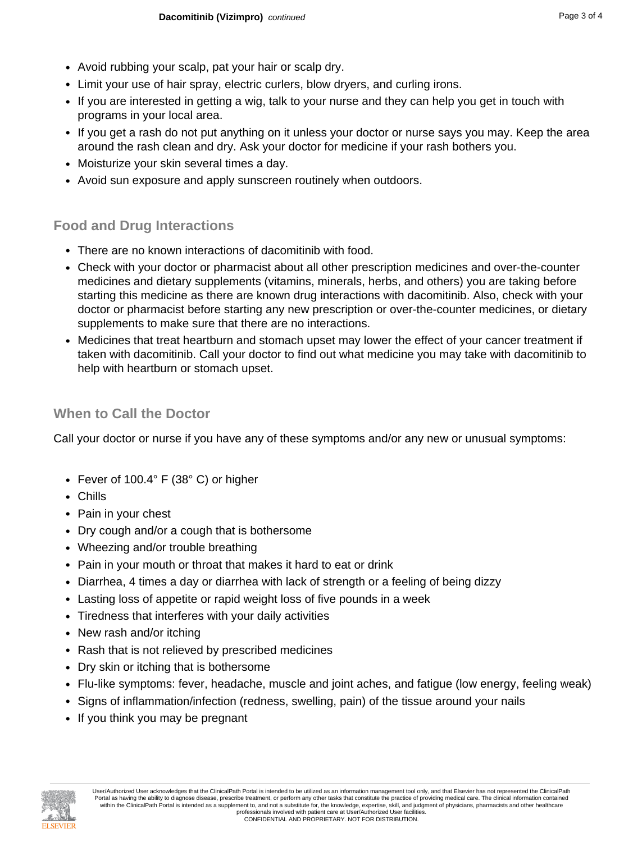- Avoid rubbing your scalp, pat your hair or scalp dry.
- Limit your use of hair spray, electric curlers, blow dryers, and curling irons.
- If you are interested in getting a wig, talk to your nurse and they can help you get in touch with programs in your local area.
- If you get a rash do not put anything on it unless your doctor or nurse says you may. Keep the area around the rash clean and dry. Ask your doctor for medicine if your rash bothers you.
- Moisturize your skin several times a day.
- Avoid sun exposure and apply sunscreen routinely when outdoors.

## **Food and Drug Interactions**

- There are no known interactions of dacomitinib with food.
- Check with your doctor or pharmacist about all other prescription medicines and over-the-counter medicines and dietary supplements (vitamins, minerals, herbs, and others) you are taking before starting this medicine as there are known drug interactions with dacomitinib. Also, check with your doctor or pharmacist before starting any new prescription or over-the-counter medicines, or dietary supplements to make sure that there are no interactions.
- Medicines that treat heartburn and stomach upset may lower the effect of your cancer treatment if taken with dacomitinib. Call your doctor to find out what medicine you may take with dacomitinib to help with heartburn or stomach upset.

### **When to Call the Doctor**

Call your doctor or nurse if you have any of these symptoms and/or any new or unusual symptoms:

- Fever of 100.4° F (38° C) or higher
- Chills
- Pain in your chest
- Dry cough and/or a cough that is bothersome
- Wheezing and/or trouble breathing
- Pain in your mouth or throat that makes it hard to eat or drink
- Diarrhea, 4 times a day or diarrhea with lack of strength or a feeling of being dizzy
- Lasting loss of appetite or rapid weight loss of five pounds in a week
- Tiredness that interferes with your daily activities
- New rash and/or itching
- Rash that is not relieved by prescribed medicines
- Dry skin or itching that is bothersome
- Flu-like symptoms: fever, headache, muscle and joint aches, and fatigue (low energy, feeling weak)
- Signs of inflammation/infection (redness, swelling, pain) of the tissue around your nails
- If you think you may be pregnant